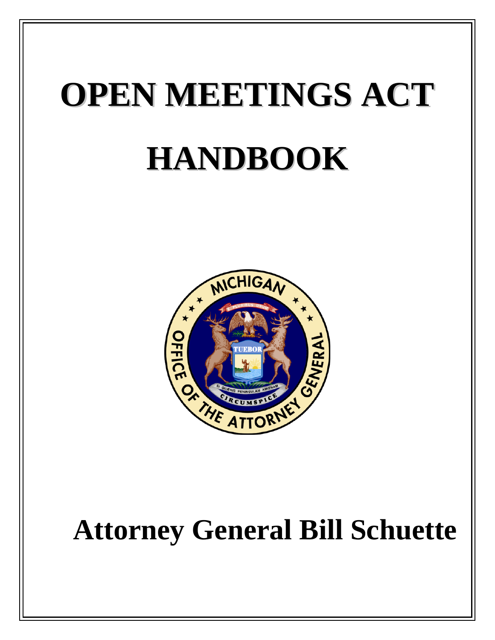# **OPEN MEETINGS ACT HANDBOOK**



# **Attorney General Bill Schuette**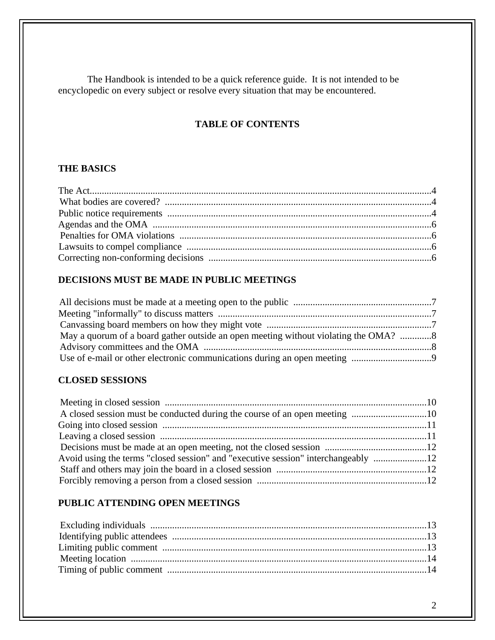The Handbook is intended to be a quick reference guide. It is not intended to be encyclopedic on every subject or resolve every situation that may be encountered.

# **TABLE OF CONTENTS**

# **THE BASICS**

# **DECISIONS MUST BE MADE IN PUBLIC MEETINGS**

| May a quorum of a board gather outside an open meeting without violating the OMA? 8 |  |
|-------------------------------------------------------------------------------------|--|
|                                                                                     |  |
|                                                                                     |  |

# **CLOSED SESSIONS**

| Avoid using the terms "closed session" and "executive session" interchangeably |  |
|--------------------------------------------------------------------------------|--|
|                                                                                |  |
|                                                                                |  |
|                                                                                |  |

# **PUBLIC ATTENDING OPEN MEETINGS**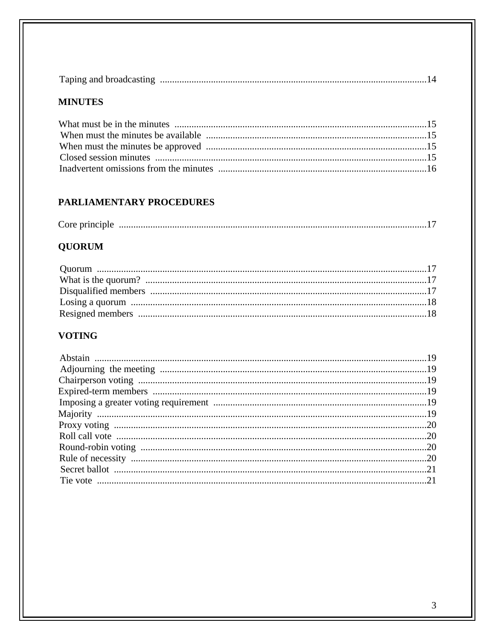| Taping and broadcasting | There exterior to the contract the contract of the contract of the contract of the contract of the contract of the contract of the contract of the contract of the contract of the contract of the contract of the contract of |  |
|-------------------------|--------------------------------------------------------------------------------------------------------------------------------------------------------------------------------------------------------------------------------|--|
|-------------------------|--------------------------------------------------------------------------------------------------------------------------------------------------------------------------------------------------------------------------------|--|

# **MINUTES**

# PARLIAMENTARY PROCEDURES

| Core principle |  |  |
|----------------|--|--|
|----------------|--|--|

# **QUORUM**

# **VOTING**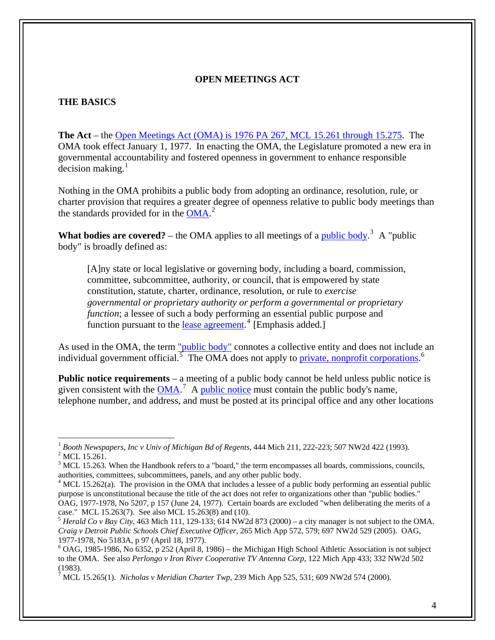## **OPEN MEETINGS ACT**

#### **THE BASICS**

**The Act** – the [Open Meetings Act \(OMA\) is 1976 PA 267, MCL 15.261 through 15.275](http://www.legislature.mi.gov/(S(hngc1mj4nomrnvu4q5erut45))/mileg.aspx?page=getObject&objectName=mcl-Act-267-of-1976). The OMA took effect January 1, 1977. In enacting the OMA, the Legislature promoted a new era in governmental accountability and fostered openness in government to enhance responsible  $\rm{decision}$  making.<sup>[1](#page-3-0)</sup>

Nothing in the OMA prohibits a public body from adopting an ordinance, resolution, rule, or charter provision that requires a greater degree of openness relative to public body meetings than the standards provided for in the [OMA.](http://www.legislature.mi.gov/(S(hngc1mj4nomrnvu4q5erut45))/mileg.aspx?page=getObject&objectName=mcl-Act-267-of-1976)<sup>[2](#page-3-1)</sup>

**What bodies are covered?** – the OMA applies to all meetings of a *public body*.<sup>[3](#page-3-2)</sup> A "public body" is broadly defined as:

[A]ny state or local legislative or governing body, including a board, commission, committee, subcommittee, authority, or council, that is empowered by state constitution, statute, charter, ordinance, resolution, or rule to *exercise governmental or proprietary authority or perform a governmental or proprietary function*; a lessee of such a body performing an essential public purpose and function pursuant to the <u>lease agreement.</u>  $\frac{4}{3}$  $\frac{4}{3}$  $\frac{4}{3}$  [Emphasis added.]

As used in the OMA, the term ["public body"](http://www.ag.state.mi.us/opinion/datafiles/1970s/op05183.htm) connotes a collective entity and does not include an individual government official.  $\overline{5}$  $\overline{5}$  $\overline{5}$  The OMA does not apply to [private, nonprofit corporations.](http://www.ag.state.mi.us/opinion/datafiles/1980s/op06352.htm)  $\overline{6}$  $\overline{6}$  $\overline{6}$ 

**Public notice requirements** – a meeting of a public body cannot be held unless public notice is given consistent with the  $\overline{OMA}$ .<sup>[7](#page-3-6)</sup> A [public notice](http://www.legislature.mi.gov/(S(gykims55pmu1tj551ehpyn55))/mileg.aspx?page=getObject&objectName=mcl-15-264) must contain the public body's name, telephone number, and address, and must be posted at its principal office and any other locations

<sup>&</sup>lt;sup>1</sup> Booth Newspapers, Inc v Univ of Michigan Bd of Regents, 444 Mich 211, 222-223; 507 NW2d 422 (1993).

<span id="page-3-1"></span><span id="page-3-0"></span> $^{2}$  MCL 15.261.

<span id="page-3-2"></span> $3$  MCL 15.263. When the Handbook refers to a "board," the term encompasses all boards, commissions, councils, authorities, committees, subcommittees, panels, and any other public body.

<span id="page-3-3"></span> $4$  MCL 15.262(a). The provision in the OMA that includes a lessee of a public body performing an essential public purpose is unconstitutional because the title of the act does not refer to organizations other than "public bodies." OAG, 1977-1978, No 5207, p 157 (June 24, 1977). Certain boards are excluded "when deliberating the merits of a case." MCL 15.263(7). See also MCL 15.263(8) and (10). 5 *Herald Co v Bay City*, 463 Mich 111, 129-133; 614 NW2d 873 (2000) – a city manager is not subject to the OMA.

<span id="page-3-4"></span>*Craig v Detroit Public Schools Chief Executive Officer*, 265 Mich App 572, 579; 697 NW2d 529 (2005). OAG, 1977-1978, No 5183A, p 97 (April 18, 1977).

<span id="page-3-5"></span> $6$  OAG, 1985-1986, No 6352, p 252 (April 8, 1986) – the Michigan High School Athletic Association is not subject to the OMA. See also *Perlongo v Iron River Cooperative TV Antenna Corp*, 122 Mich App 433; 332 NW2d 502 (1983).

<span id="page-3-6"></span><sup>7</sup> MCL 15.265(1). *Nicholas v Meridian Charter Twp*, 239 Mich App 525, 531; 609 NW2d 574 (2000).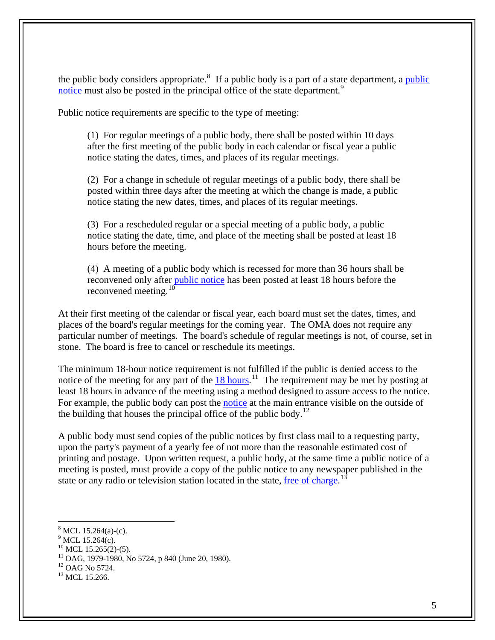the public body considers appropriate.<sup>[8](#page-4-0)</sup> If a [public](http://www.legislature.mi.gov/(S(gykims55pmu1tj551ehpyn55))/mileg.aspx?page=getObject&objectName=mcl-15-264) body is a part of a state department, a public [notice](http://www.legislature.mi.gov/(S(gykims55pmu1tj551ehpyn55))/mileg.aspx?page=getObject&objectName=mcl-15-264) must also be posted in the principal office of the state department.<sup>[9](#page-4-1)</sup>

Public notice requirements are specific to the type of meeting:

(1) For regular meetings of a public body, there shall be posted within 10 days after the first meeting of the public body in each calendar or fiscal year a public notice stating the dates, times, and places of its regular meetings.

(2) For a change in schedule of regular meetings of a public body, there shall be posted within three days after the meeting at which the change is made, a public notice stating the new dates, times, and places of its regular meetings.

(3) For a rescheduled regular or a special meeting of a public body, a public notice stating the date, time, and place of the meeting shall be posted at least 18 hours before the meeting.

(4) A meeting of a public body which is recessed for more than 36 hours shall be reconvened only after [public notice](http://www.legislature.mi.gov/(S(gykims55pmu1tj551ehpyn55))/mileg.aspx?page=getObject&objectName=mcl-15-265) has been posted at least 18 hours before the reconvened meeting.<sup>[10](#page-4-2)</sup>

At their first meeting of the calendar or fiscal year, each board must set the dates, times, and places of the board's regular meetings for the coming year. The OMA does not require any particular number of meetings. The board's schedule of regular meetings is not, of course, set in stone. The board is free to cancel or reschedule its meetings.

The minimum 18-hour notice requirement is not fulfilled if the public is denied access to the notice of the meeting for any part of the  $18 \text{ hours}$ .<sup>[11](#page-4-3)</sup> The requirement may be met by posting at least 18 hours in advance of the meeting using a method designed to assure access to the notice. For example, the public body can post the [notice](http://www.ag.state.mi.us/opinion/datafiles/1980s/op05724.htm) at the main entrance visible on the outside of the building that houses the principal office of the public body.<sup>[12](#page-4-4)</sup>

A public body must send copies of the public notices by first class mail to a requesting party, upon the party's payment of a yearly fee of not more than the reasonable estimated cost of printing and postage. Upon written request, a public body, at the same time a public notice of a meeting is posted, must provide a copy of the public notice to any newspaper published in the state or any radio or television station located in the state, [free of charge.](http://www.legislature.mi.gov/(S(gykims55pmu1tj551ehpyn55))/mileg.aspx?page=getObject&objectName=mcl-15-266)<sup>[13](#page-4-5)</sup>

<span id="page-4-1"></span><span id="page-4-0"></span> $8$  MCL 15.264(a)-(c).

 $^{9}$  MCL 15.264(c).

 $^{10}$  MCL 15.265(2)-(5).

<span id="page-4-3"></span><span id="page-4-2"></span> $11$  OAG, 1979-1980, No 5724, p 840 (June 20, 1980).

<span id="page-4-4"></span><sup>&</sup>lt;sup>12</sup> OAG No 5724.

<span id="page-4-5"></span><sup>&</sup>lt;sup>13</sup> MCL 15.266.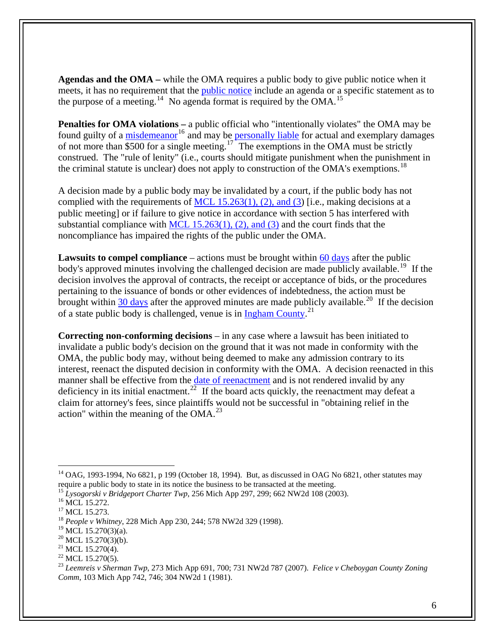**Agendas and the OMA –** while the OMA requires a public body to give public notice when it meets, it has no requirement that the *public* notice include an agenda or a specific statement as to the purpose of a meeting.<sup>[14](#page-5-0)</sup> No agenda format is required by the OMA.<sup>[15](#page-5-1)</sup>

**Penalties for OMA violations – a public official who "intentionally violates" the OMA may be** found guilty of a [misdemeanor](http://www.legislature.mi.gov/(S(gykims55pmu1tj551ehpyn55))/mileg.aspx?page=getObject&objectName=mcl-15-272)<sup>[16](#page-5-2)</sup> and may be [personally liable](http://www.legislature.mi.gov/(S(gykims55pmu1tj551ehpyn55))/mileg.aspx?page=getObject&objectName=mcl-15-273) for actual and exemplary damages of not more than  $\frac{$500}{0}$  for a single meeting.<sup>[17](#page-5-3)</sup> The exemptions in the OMA must be strictly construed. The "rule of lenity" (i.e., courts should mitigate punishment when the punishment in the criminal statute is unclear) does not apply to construction of the OMA's exemptions.<sup>[18](#page-5-4)</sup>

A decision made by a public body may be invalidated by a court, if the public body has not complied with the requirements of [MCL 15.263\(1\), \(2\), and \(3\)](http://www.legislature.mi.gov/(S(gykims55pmu1tj551ehpyn55))/mileg.aspx?page=getObject&objectName=mcl-15-263) [i.e., making decisions at a public meeting] or if failure to give notice in accordance with section 5 has interfered with substantial compliance with MCL  $15.263(1)$ ,  $(2)$ , and  $(3)$  and the court finds that the noncompliance has impaired the rights of the public under the OMA.

**Lawsuits to compel compliance** – actions must be brought within [60 days](http://www.legislature.mi.gov/(S(gykims55pmu1tj551ehpyn55))/mileg.aspx?page=getObject&objectName=mcl-15-270) after the public body's approved minutes involving the challenged decision are made publicly available.<sup>[19](#page-5-5)</sup> If the decision involves the approval of contracts, the receipt or acceptance of bids, or the procedures pertaining to the issuance of bonds or other evidences of indebtedness, the action must be brought within [30 days](http://www.legislature.mi.gov/(S(gykims55pmu1tj551ehpyn55))/mileg.aspx?page=getObject&objectName=mcl-15-270) after the approved minutes are made publicly available.<sup>[20](#page-5-6)</sup> If the decision of a state public body is challenged, venue is in  $Ingham County.<sup>21</sup>$  $Ingham County.<sup>21</sup>$  $Ingham County.<sup>21</sup>$ </u>

**Correcting non-conforming decisions** – in any case where a lawsuit has been initiated to invalidate a public body's decision on the ground that it was not made in conformity with the OMA, the public body may, without being deemed to make any admission contrary to its interest, reenact the disputed decision in conformity with the OMA. A decision reenacted in this manner shall be effective from the [date of reenactment](http://www.legislature.mi.gov/(S(gykims55pmu1tj551ehpyn55))/mileg.aspx?page=getObject&objectName=mcl-15-270) and is not rendered invalid by any deficiency in its initial enactment.<sup>[22](#page-5-8)</sup> If the board acts quickly, the reenactment may defeat a claim for attorney's fees, since plaintiffs would not be successful in "obtaining relief in the action" within the meaning of the  $OMA<sup>23</sup>$  $OMA<sup>23</sup>$  $OMA<sup>23</sup>$ 

<span id="page-5-0"></span> $14$  OAG, 1993-1994, No 6821, p 199 (October 18, 1994). But, as discussed in OAG No 6821, other statutes may require a public body to state in its notice the business to be transacted at the meeting.

<span id="page-5-1"></span><sup>&</sup>lt;sup>15</sup> *Lysogorski v Bridgeport Charter Twp*, 256 Mich App 297, 299; 662 NW2d 108 (2003).<br><sup>16</sup> MCL 15.272.

<span id="page-5-2"></span>

<span id="page-5-3"></span><sup>&</sup>lt;sup>17</sup> MCL 15.273.

<span id="page-5-4"></span><sup>18</sup> *People v Whitney*, 228 Mich App 230, 244; 578 NW2d 329 (1998).

<span id="page-5-5"></span> $^{19}$  MCL 15.270(3)(a).

<span id="page-5-6"></span> $20$  MCL 15.270(3)(b).

<span id="page-5-7"></span> $21$  MCL 15.270(4).

 $^{22}$  MCL 15.270(5).

<span id="page-5-9"></span><span id="page-5-8"></span><sup>23</sup> *Leemreis v Sherman Twp*, 273 Mich App 691, 700; 731 NW2d 787 (2007). *Felice v Cheboygan County Zoning Comm*, 103 Mich App 742, 746; 304 NW2d 1 (1981).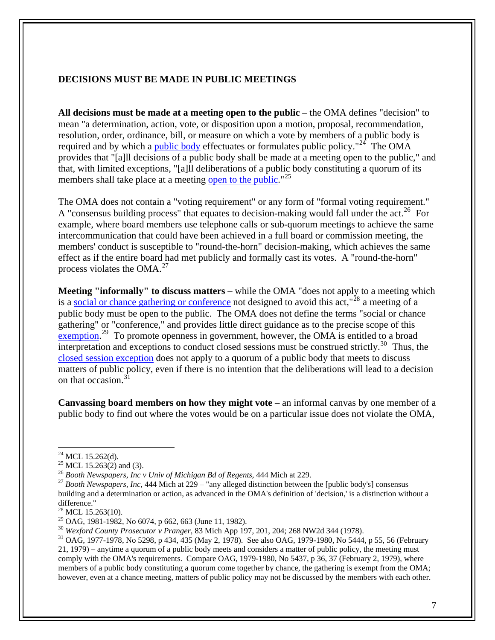## **DECISIONS MUST BE MADE IN PUBLIC MEETINGS**

**All decisions must be made at a meeting open to the public** – the OMA defines "decision" to mean "a determination, action, vote, or disposition upon a motion, proposal, recommendation, resolution, order, ordinance, bill, or measure on which a vote by members of a public body is required and by which a [public body](http://www.legislature.mi.gov/(S(gykims55pmu1tj551ehpyn55))/mileg.aspx?page=getObject&objectName=mcl-15-262) effectuates or formulates public policy."<sup>[24](#page-6-0)</sup> The OMA provides that "[a]ll decisions of a public body shall be made at a meeting open to the public," and that, with limited exceptions, "[a]ll deliberations of a public body constituting a quorum of its members shall take place at a meeting [open to the public.](http://www.legislature.mi.gov/(S(gykims55pmu1tj551ehpyn55))/mileg.aspx?page=getObject&objectName=mcl-15-263)"<sup>[25](#page-6-1)</sup>

The OMA does not contain a "voting requirement" or any form of "formal voting requirement." A "consensus building process" that equates to decision-making would fall under the act.<sup>[26](#page-6-2)</sup> For example, where board members use telephone calls or sub-quorum meetings to achieve the same intercommunication that could have been achieved in a full board or commission meeting, the members' conduct is susceptible to "round-the-horn" decision-making, which achieves the same effect as if the entire board had met publicly and formally cast its votes. A "round-the-horn" process violates the  $OMA<sup>27</sup>$  $OMA<sup>27</sup>$  $OMA<sup>27</sup>$ 

**Meeting "informally" to discuss matters** – while the OMA "does not apply to a meeting which is a [social or chance gathering or conference](http://www.legislature.mi.gov/(S(gykims55pmu1tj551ehpyn55))/mileg.aspx?page=getObject&objectName=mcl-15-263) not designed to avoid this  $act,$ <sup>[28](#page-6-4)</sup> a meeting of a public body must be open to the public. The OMA does not define the terms "social or chance gathering" or "conference," and provides little direct guidance as to the precise scope of this  $\frac{1}{2}$  Co promote openness in government, however, the OMA is entitled to a broad interpretation and exceptions to conduct closed sessions must be construed strictly.<sup>[30](#page-6-6)</sup> Thus, the [closed session exception](http://www.ag.state.mi.us/opinion/datafiles/1970s/op05298.htm) does not apply to a quorum of a public body that meets to discuss matters of public policy, even if there is no intention that the deliberations will lead to a decision on that occasion.<sup>[31](#page-6-7)</sup>

**Canvassing board members on how they might vote** – an informal canvas by one member of a public body to find out where the votes would be on a particular issue does not violate the OMA,

 $^{24}$  MCL 15.262(d).

<span id="page-6-2"></span><span id="page-6-1"></span><span id="page-6-0"></span><sup>&</sup>lt;sup>25</sup> MCL 15.263(2) and (3).<br><sup>25</sup> MCL 15.263(2) and (3).<br><sup>26</sup> Booth Newspapers, *Inc v Univ of Michigan Bd of Regents*, 444 Mich at 229.

<span id="page-6-3"></span><sup>&</sup>lt;sup>27</sup> Booth Newspapers, Inc, 444 Mich at 229 – "any alleged distinction between the [public body's] consensus building and a determination or action, as advanced in the OMA's definition of 'decision,' is a distinction without a difference."

 $^{28}$  MCL 15.263(10).

<span id="page-6-6"></span><span id="page-6-5"></span><span id="page-6-4"></span><sup>&</sup>lt;sup>29</sup> OAG, 1981-1982, No 6074, p 662, 663 (June 11, 1982).<br><sup>30</sup> Wexford County Prosecutor v Pranger, 83 Mich App 197, 201, 204; 268 NW2d 344 (1978).

<span id="page-6-7"></span><sup>&</sup>lt;sup>31</sup> OAG, 1977-1978, No 5298, p 434, 435 (May 2, 1978). See also OAG, 1979-1980, No 5444, p 55, 56 (February 21, 1979) – anytime a quorum of a public body meets and considers a matter of public policy, the meeting must comply with the OMA's requirements. Compare OAG, 1979-1980, No 5437, p 36, 37 (February 2, 1979), where members of a public body constituting a quorum come together by chance, the gathering is exempt from the OMA; however, even at a chance meeting, matters of public policy may not be discussed by the members with each other.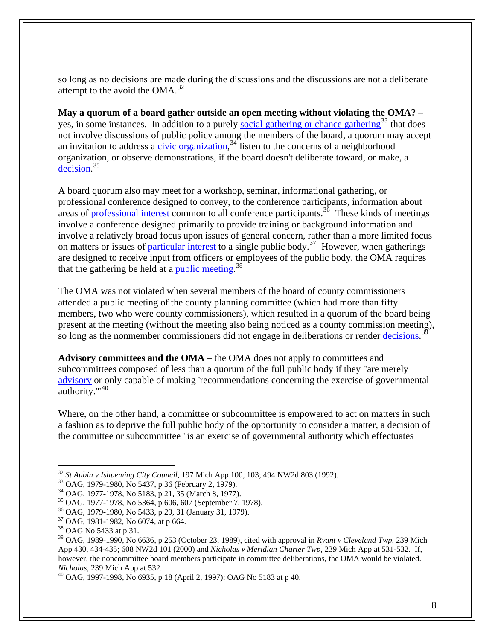so long as no decisions are made during the discussions and the discussions are not a deliberate attempt to the avoid the OMA.[32](#page-7-0)

**May a quorum of a board gather outside an open meeting without violating the OMA?** – yes, in some instances. In addition to a purely [social gathering or chance gathering](http://www.ag.state.mi.us/opinion/datafiles/1970s/op05437.htm)<sup>[33](#page-7-1)</sup> that does not involve discussions of public policy among the members of the board, a quorum may accept an invitation to address a [civic organization](http://www.ag.state.mi.us/opinion/datafiles/1970s/op05183.htm),  $34$  listen to the concerns of a neighborhood organization, or observe demonstrations, if the board doesn't deliberate toward, or make, a [decision](http://www.ag.state.mi.us/opinion/datafiles/1970s/op05364.htm).<sup>[35](#page-7-3)</sup>

A board quorum also may meet for a workshop, seminar, informational gathering, or professional conference designed to convey, to the conference participants, information about areas of [professional interest](http://www.ag.state.mi.us/opinion/datafiles/1970s/op05433.htm) common to all conference participants.<sup>[36](#page-7-4)</sup> These kinds of meetings involve a conference designed primarily to provide training or background information and involve a relatively broad focus upon issues of general concern, rather than a more limited focus on matters or issues of [particular interest](http://www.ag.state.mi.us/opinion/datafiles/1980s/op06074.htm) to a single public body.<sup>[37](#page-7-5)</sup> However, when gatherings are designed to receive input from officers or employees of the public body, the OMA requires that the gathering be held at a <u>public meeting</u>.<sup>[38](#page-7-6)</sup>

The OMA was not violated when several members of the board of county commissioners attended a public meeting of the county planning committee (which had more than fifty members, two who were county commissioners), which resulted in a quorum of the board being present at the meeting (without the meeting also being noticed as a county commission meeting), so long as the nonmember commissioners did not engage in deliberations or render [decisions](http://www.ag.state.mi.us/opinion/datafiles/1980s/op06636.htm).<sup>[39](#page-7-7)</sup>

**Advisory committees and the OMA** – the OMA does not apply to committees and subcommittees composed of less than a quorum of the full public body if they "are merely [advisory](http://www.ag.state.mi.us/opinion/datafiles/1990s/op10006.htm) or only capable of making 'recommendations concerning the exercise of governmental authority.'"[40](#page-7-8)

Where, on the other hand, a committee or subcommittee is empowered to act on matters in such a fashion as to deprive the full public body of the opportunity to consider a matter, a decision of the committee or subcommittee "is an exercise of governmental authority which effectuates

<span id="page-7-0"></span><sup>&</sup>lt;sup>32</sup> *St Aubin v Ishpeming City Council*, 197 Mich App 100, 103; 494 NW2d 803 (1992).<br><sup>33</sup> OAG, 1979-1980, No 5437, p 36 (February 2, 1979).

<span id="page-7-2"></span><span id="page-7-1"></span><sup>34</sup> OAG, 1977-1978, No 5183, p 21, 35 (March 8, 1977).

<span id="page-7-3"></span><sup>35</sup> OAG, 1977-1978, No 5364, p 606, 607 (September 7, 1978).

<span id="page-7-4"></span><sup>36</sup> OAG, 1979-1980, No 5433, p 29, 31 (January 31, 1979).

<span id="page-7-5"></span><sup>37</sup> OAG, 1981-1982, No 6074, at p 664.

<span id="page-7-6"></span><sup>38</sup> OAG No 5433 at p 31.

<span id="page-7-7"></span><sup>39</sup> OAG, 1989-1990, No 6636, p 253 (October 23, 1989), cited with approval in *Ryant v Cleveland Twp*, 239 Mich App 430, 434-435; 608 NW2d 101 (2000) and *Nicholas v Meridian Charter Twp*, 239 Mich App at 531-532. If, however, the noncommittee board members participate in committee deliberations, the OMA would be violated. *Nicholas*, 239 Mich App at 532.<br><sup>40</sup> OAG, 1997-1998, No 6935, p 18 (April 2, 1997); OAG No 5183 at p 40.

<span id="page-7-8"></span>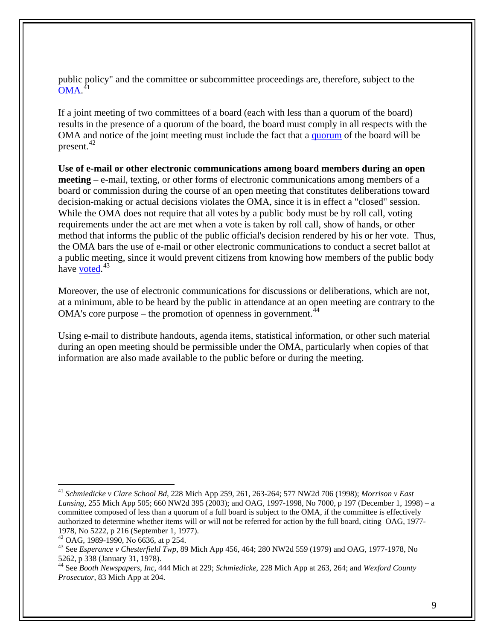public policy" and the committee or subcommittee proceedings are, therefore, subject to the [OMA.](http://www.ag.state.mi.us/opinion/datafiles/1990s/op10070.htm) [41](#page-8-0)

If a joint meeting of two committees of a board (each with less than a quorum of the board) results in the presence of a quorum of the board, the board must comply in all respects with the OMA and notice of the joint meeting must include the fact that a [quorum](http://www.ag.state.mi.us/opinion/datafiles/1980s/op06636.htm) of the board will be present.<sup>[42](#page-8-1)</sup>

**Use of e-mail or other electronic communications among board members during an open meeting** – e-mail, texting, or other forms of electronic communications among members of a board or commission during the course of an open meeting that constitutes deliberations toward decision-making or actual decisions violates the OMA, since it is in effect a "closed" session. While the OMA does not require that all votes by a public body must be by roll call, voting requirements under the act are met when a vote is taken by roll call, show of hands, or other method that informs the public of the public official's decision rendered by his or her vote. Thus, the OMA bars the use of e-mail or other electronic communications to conduct a secret ballot at a public meeting, since it would prevent citizens from knowing how members of the public body have <u>[voted](http://www.ag.state.mi.us/opinion/datafiles/1970s/op05262.htm)</u>.<sup>[43](#page-8-2)</sup>

Moreover, the use of electronic communications for discussions or deliberations, which are not, at a minimum, able to be heard by the public in attendance at an open meeting are contrary to the OMA's core purpose – the promotion of openness in government.  $44$ 

Using e-mail to distribute handouts, agenda items, statistical information, or other such material during an open meeting should be permissible under the OMA, particularly when copies of that information are also made available to the public before or during the meeting.

1

<span id="page-8-0"></span><sup>41</sup> *Schmiedicke v Clare School Bd*, 228 Mich App 259, 261, 263-264; 577 NW2d 706 (1998); *Morrison v East Lansing*, 255 Mich App 505; 660 NW2d 395 (2003); and OAG, 1997-1998, No 7000, p 197 (December 1, 1998) – a committee composed of less than a quorum of a full board is subject to the OMA, if the committee is effectively authorized to determine whether items will or will not be referred for action by the full board, citing OAG, 1977- 1978, No 5222, p 216 (September 1, 1977).

<span id="page-8-1"></span> $42$  OAG, 1989-1990, No 6636, at p 254.

<span id="page-8-2"></span><sup>43</sup> See *Esperance v Chesterfield Twp*, 89 Mich App 456, 464; 280 NW2d 559 (1979) and OAG, 1977-1978, No 5262, p 338 (January 31, 1978).

<span id="page-8-3"></span><sup>44</sup> See *Booth Newspapers, Inc*, 444 Mich at 229; *Schmiedicke*, 228 Mich App at 263, 264; and *Wexford County Prosecutor*, 83 Mich App at 204.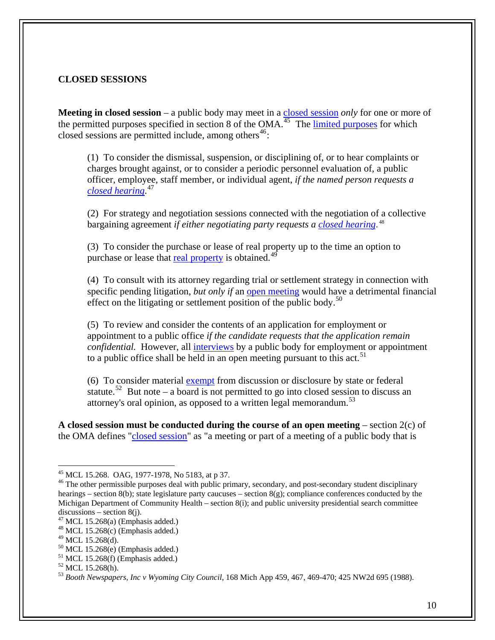## **CLOSED SESSIONS**

**Meeting in closed session** – a public body may meet in a [closed session](http://www.legislature.mi.gov/(S(5ljhvdbiegcifyqvztxtqea0))/mileg.aspx?page=getObject&objectName=mcl-15-268) *only* for one or more of the permitted purposes specified in section 8 of the OMA.<sup> $45$ </sup> The [limited purposes](http://www.legislature.mi.gov/(S(5ljhvdbiegcifyqvztxtqea0))/mileg.aspx?page=getObject&objectName=mcl-15-268) for which closed sessions are permitted include, among others<sup>[46](#page-9-1)</sup>:

(1) To consider the dismissal, suspension, or disciplining of, or to hear complaints or charges brought against, or to consider a periodic personnel evaluation of, a public officer, employee, staff member, or individual agent, *if the named person requests a [closed hearing](http://www.legislature.mi.gov/(S(jqki5vmmf5pvjsfccfbdpu45))/mileg.aspx?page=getObject&objectName=mcl-15-268)*. [47](#page-9-2)

(2) For strategy and negotiation sessions connected with the negotiation of a collective bargaining agreement *if either negotiating party requests a [closed hearing](http://www.legislature.mi.gov/(S(jqki5vmmf5pvjsfccfbdpu45))/mileg.aspx?page=getObject&objectName=mcl-15-268)*. [48](#page-9-3)

(3) To consider the purchase or lease of real property up to the time an option to purchase or lease that [real property](http://www.legislature.mi.gov/(S(jqki5vmmf5pvjsfccfbdpu45))/mileg.aspx?page=getObject&objectName=mcl-15-268) is obtained.<sup>[49](#page-9-4)</sup>

(4) To consult with its attorney regarding trial or settlement strategy in connection with specific pending litigation, *but only if* an [open meeting](http://www.legislature.mi.gov/(S(jqki5vmmf5pvjsfccfbdpu45))/mileg.aspx?page=getObject&objectName=mcl-15-268) would have a detrimental financial effect on the litigating or settlement position of the public body.<sup>[50](#page-9-5)</sup>

(5) To review and consider the contents of an application for employment or appointment to a public office *if the candidate requests that the application remain confidential.* However, all [interviews](http://www.legislature.mi.gov/(S(jqki5vmmf5pvjsfccfbdpu45))/mileg.aspx?page=getObject&objectName=mcl-15-268) by a public body for employment or appointment to a public office shall be held in an open meeting pursuant to this act.<sup>[51](#page-9-6)</sup>

(6) To consider material [exempt](http://www.legislature.mi.gov/(S(jqki5vmmf5pvjsfccfbdpu45))/mileg.aspx?page=getObject&objectName=mcl-15-268) from discussion or disclosure by state or federal statute.<sup>[52](#page-9-7)</sup> But note – a board is not permitted to go into closed session to discuss an attorney's oral opinion, as opposed to a written legal memorandum.<sup>[53](#page-9-8)</sup>

**A closed session must be conducted during the course of an open meeting** – section 2(c) of the OMA defines ["closed session"](http://www.legislature.mi.gov/(S(jqki5vmmf5pvjsfccfbdpu45))/mileg.aspx?page=getObject&objectName=mcl-15-262) as "a meeting or part of a meeting of a public body that is

1

<span id="page-9-0"></span><sup>45</sup> MCL 15.268. OAG, 1977-1978, No 5183, at p 37.

<span id="page-9-1"></span><sup>&</sup>lt;sup>46</sup> The other permissible purposes deal with public primary, secondary, and post-secondary student disciplinary hearings – section 8(b); state legislature party caucuses – section 8(g); compliance conferences conducted by the Michigan Department of Community Health – section 8(i); and public university presidential search committee  $discussions - section 8(i)$ .

<span id="page-9-2"></span> $47$  MCL 15.268(a) (Emphasis added.)

<span id="page-9-3"></span> $48$  MCL 15.268(c) (Emphasis added.)

<span id="page-9-4"></span> $49$  MCL 15.268(d).

 $50$  MCL 15.268(e) (Emphasis added.)

<span id="page-9-6"></span><span id="page-9-5"></span> $51$  MCL 15.268(f) (Emphasis added.)

<span id="page-9-7"></span><sup>52</sup> MCL 15.268(h).

<span id="page-9-8"></span><sup>53</sup> *Booth Newspapers, Inc v Wyoming City Council*, 168 Mich App 459, 467, 469-470; 425 NW2d 695 (1988).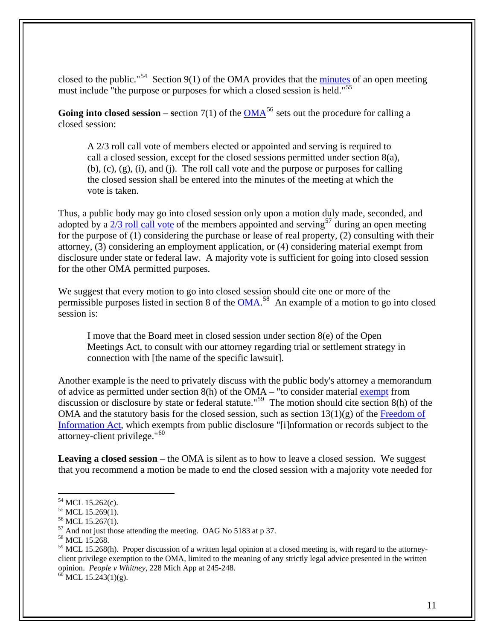closed to the public."<sup>[54](#page-10-0)</sup> Section 9(1) of the OMA provides that the [minutes](http://www.legislature.mi.gov/(S(jqki5vmmf5pvjsfccfbdpu45))/mileg.aspx?page=getObject&objectName=mcl-15-269) of an open meeting must include "the purpose or purposes for which a closed session is held."<sup>[55](#page-10-1)</sup>

**Going into closed session** – section 7(1) of the  $OMA<sup>56</sup>$  $OMA<sup>56</sup>$  $OMA<sup>56</sup>$  $OMA<sup>56</sup>$  sets out the procedure for calling a closed session:

A 2/3 roll call vote of members elected or appointed and serving is required to call a closed session, except for the closed sessions permitted under section 8(a), (b), (c), (g), (i), and (j). The roll call vote and the purpose or purposes for calling the closed session shall be entered into the minutes of the meeting at which the vote is taken.

Thus, a public body may go into closed session only upon a motion duly made, seconded, and adopted by a  $2/3$  roll call vote of the members appointed and serving<sup>[57](#page-10-3)</sup> during an open meeting for the purpose of (1) considering the purchase or lease of real property, (2) consulting with their attorney, (3) considering an employment application, or (4) considering material exempt from disclosure under state or federal law. A majority vote is sufficient for going into closed session for the other OMA permitted purposes.

We suggest that every motion to go into closed session should cite one or more of the permissible purposes listed in section 8 of the [OMA.](http://www.legislature.mi.gov/(S(jqki5vmmf5pvjsfccfbdpu45))/mileg.aspx?page=getObject&objectName=mcl-15-268)<sup>[58](#page-10-4)</sup> An example of a motion to go into closed session is:

I move that the Board meet in closed session under section 8(e) of the Open Meetings Act, to consult with our attorney regarding trial or settlement strategy in connection with [the name of the specific lawsuit].

Another example is the need to privately discuss with the public body's attorney a memorandum of advice as permitted under section 8(h) of the OMA – "to consider material [exempt](http://www.legislature.mi.gov/(S(jqki5vmmf5pvjsfccfbdpu45))/mileg.aspx?page=getObject&objectName=mcl-15-268) from discussion or disclosure by state or federal statute."<sup>[59](#page-10-5)</sup> The motion should cite section 8(h) of the OMA and the statutory basis for the closed session, such as section  $13(1)(g)$  of the Freedom of [Information Act,](http://www.legislature.mi.gov/(S(5ljhvdbiegcifyqvztxtqea0))/mileg.aspx?page=getObject&objectName=mcl-15-243) which exempts from public disclosure "[i]nformation or records subject to the attorney-client privilege."[60](#page-10-6)

Leaving a closed session – the OMA is silent as to how to leave a closed session. We suggest that you recommend a motion be made to end the closed session with a majority vote needed for

<span id="page-10-6"></span>

<sup>54</sup> MCL 15.262(c).

<span id="page-10-1"></span><span id="page-10-0"></span><sup>&</sup>lt;sup>55</sup> MCL 15.269(1).

<span id="page-10-2"></span><sup>56</sup> MCL 15.267(1).

<span id="page-10-3"></span><sup>57</sup> And not just those attending the meeting. OAG No 5183 at p 37.

<span id="page-10-4"></span><sup>58</sup> MCL 15.268.

<span id="page-10-5"></span> $59$  MCL 15.268(h). Proper discussion of a written legal opinion at a closed meeting is, with regard to the attorneyclient privilege exemption to the OMA, limited to the meaning of any strictly legal advice presented in the written opinion. *People v Whitney*, 228 Mich App at 245-248. <sup>60</sup> MCL 15.243(1)(g).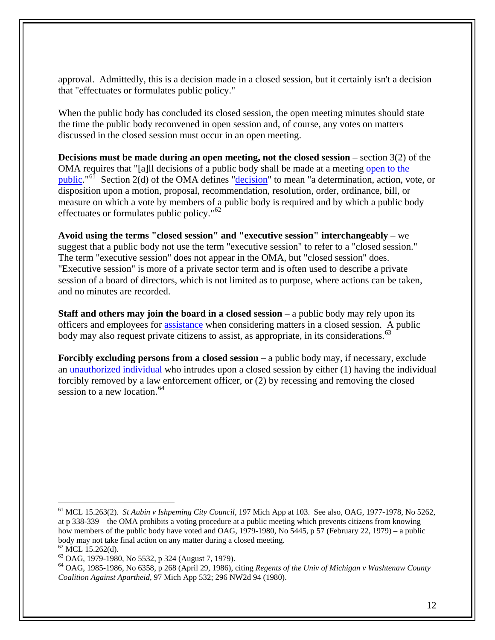approval. Admittedly, this is a decision made in a closed session, but it certainly isn't a decision that "effectuates or formulates public policy."

When the public body has concluded its closed session, the open meeting minutes should state the time the public body reconvened in open session and, of course, any votes on matters discussed in the closed session must occur in an open meeting.

**Decisions must be made during an open meeting, not the closed session** – section 3(2) of the OMA requires that "[a]ll decisions of a public body shall be made at a meeting [open to the](http://www.legislature.mi.gov/(S(5ljhvdbiegcifyqvztxtqea0))/mileg.aspx?page=getObject&objectName=mcl-15-263)  [public](http://www.legislature.mi.gov/(S(5ljhvdbiegcifyqvztxtqea0))/mileg.aspx?page=getObject&objectName=mcl-15-263)."[61](#page-11-0) Section 2(d) of the OMA defines ["decision](http://www.legislature.mi.gov/(S(5ljhvdbiegcifyqvztxtqea0))/mileg.aspx?page=getObject&objectName=mcl-15-262)" to mean "a determination, action, vote, or disposition upon a motion, proposal, recommendation, resolution, order, ordinance, bill, or measure on which a vote by members of a public body is required and by which a public body effectuates or formulates public policy."<sup>[62](#page-11-1)</sup>

**Avoid using the terms "closed session" and "executive session" interchangeably** – we suggest that a public body not use the term "executive session" to refer to a "closed session." The term "executive session" does not appear in the OMA, but "closed session" does. "Executive session" is more of a private sector term and is often used to describe a private session of a board of directors, which is not limited as to purpose, where actions can be taken, and no minutes are recorded.

**Staff and others may join the board in a closed session** – a public body may rely upon its officers and employees for [assistance](http://www.ag.state.mi.us/opinion/datafiles/1970s/op05532.htm) when considering matters in a closed session. A public body may also request private citizens to assist, as appropriate, in its considerations.<sup>[63](#page-11-2)</sup>

**Forcibly excluding persons from a closed session** – a public body may, if necessary, exclude an [unauthorized individual](http://www.ag.state.mi.us/opinion/datafiles/1980s/op06358.htm) who intrudes upon a closed session by either (1) having the individual forcibly removed by a law enforcement officer, or (2) by recessing and removing the closed session to a new location.<sup>[64](#page-11-3)</sup>

<span id="page-11-0"></span><sup>61</sup> MCL 15.263(2). *St Aubin v Ishpeming City Council*, 197 Mich App at 103. See also, OAG, 1977-1978, No 5262, at p 338-339 – the OMA prohibits a voting procedure at a public meeting which prevents citizens from knowing how members of the public body have voted and OAG, 1979-1980, No 5445, p 57 (February 22, 1979) – a public body may not take final action on any matter during a closed meeting.

 $62$  MCL 15.262(d).

<span id="page-11-2"></span><span id="page-11-1"></span><sup>63</sup> OAG, 1979-1980, No 5532, p 324 (August 7, 1979).

<span id="page-11-3"></span><sup>64</sup> OAG, 1985-1986, No 6358, p 268 (April 29, 1986), citing *Regents of the Univ of Michigan v Washtenaw County Coalition Against Apartheid*, 97 Mich App 532; 296 NW2d 94 (1980).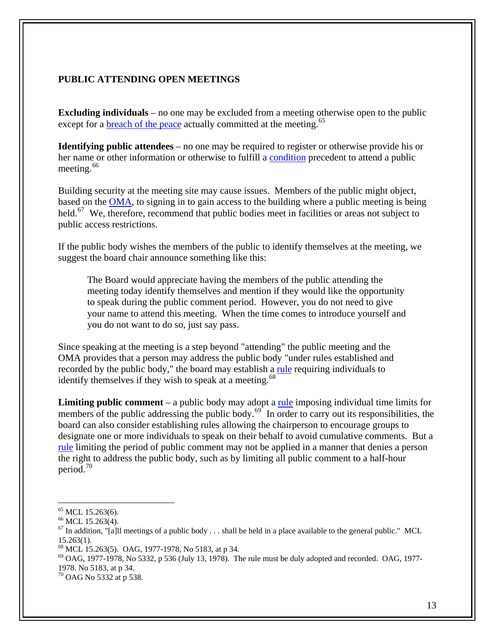# **PUBLIC ATTENDING OPEN MEETINGS**

**Excluding individuals** – no one may be excluded from a meeting otherwise open to the public except for a **breach** of the peace actually committed at the meeting.<sup>[65](#page-12-0)</sup>

**Identifying public attendees** – no one may be required to register or otherwise provide his or her name or other information or otherwise to fulfill a [condition](http://www.legislature.mi.gov/(S(5ljhvdbiegcifyqvztxtqea0))/mileg.aspx?page=getObject&objectName=mcl-15-263) precedent to attend a public meeting. $66$ 

Building security at the meeting site may cause issues. Members of the public might object, based on the [OMA,](http://www.legislature.mi.gov/(S(5ljhvdbiegcifyqvztxtqea0))/mileg.aspx?page=getObject&objectName=mcl-15-263) to signing in to gain access to the building where a public meeting is being held.<sup>[67](#page-12-2)</sup> We, therefore, recommend that public bodies meet in facilities or areas not subject to public access restrictions.

If the public body wishes the members of the public to identify themselves at the meeting, we suggest the board chair announce something like this:

The Board would appreciate having the members of the public attending the meeting today identify themselves and mention if they would like the opportunity to speak during the public comment period. However, you do not need to give your name to attend this meeting. When the time comes to introduce yourself and you do not want to do so, just say pass.

Since speaking at the meeting is a step beyond "attending" the public meeting and the OMA provides that a person may address the public body "under rules established and recorded by the public body," the board may establish a [rule](http://www.legislature.mi.gov/(S(5ljhvdbiegcifyqvztxtqea0))/mileg.aspx?page=getObject&objectName=mcl-15-263) requiring individuals to identify themselves if they wish to speak at a meeting.<sup>[68](#page-12-3)</sup>

**Limiting public comment** – a public body may adopt a [rule](http://www.ag.state.mi.us/opinion/datafiles/1970s/op05332.htm) imposing individual time limits for members of the public addressing the public body.<sup>[69](#page-12-4)</sup> In order to carry out its responsibilities, the board can also consider establishing rules allowing the chairperson to encourage groups to designate one or more individuals to speak on their behalf to avoid cumulative comments. But a [rule](http://www.ag.state.mi.us/opinion/datafiles/1970s/op05332.htm) limiting the period of public comment may not be applied in a manner that denies a person the right to address the public body, such as by limiting all public comment to a half-hour period.<sup>[70](#page-12-5)</sup>

1

<span id="page-12-4"></span> $^{69}$  OAG, 1977-1978, No 5332, p 536 (July 13, 1978). The rule must be duly adopted and recorded. OAG, 1977-1978. No 5183, at p 34.

<span id="page-12-0"></span> $65$  MCL 15.263(6).

<span id="page-12-1"></span><sup>&</sup>lt;sup>66</sup> MCL 15.263(4).

<span id="page-12-2"></span> $67$  In addition, "[a]ll meetings of a public body . . . shall be held in a place available to the general public." MCL 15.263(1).

<span id="page-12-3"></span><sup>68</sup> MCL 15.263(5). OAG, 1977-1978, No 5183, at p 34.

<span id="page-12-5"></span><sup>70</sup> OAG No 5332 at p 538.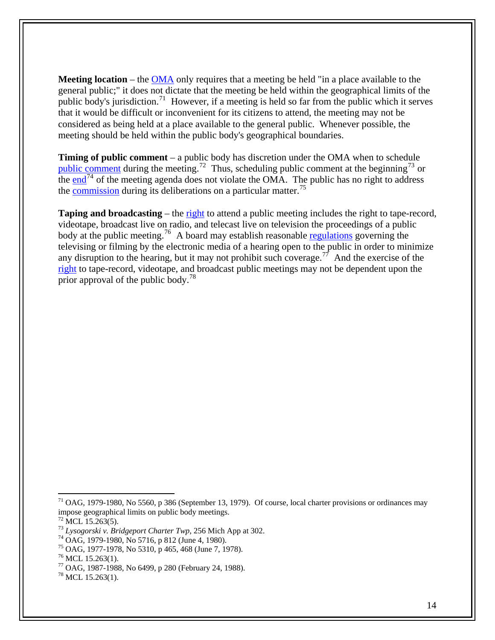**Meeting location** – the [OMA](http://www.ag.state.mi.us/opinion/datafiles/1970s/op05560.htm) only requires that a meeting be held "in a place available to the general public;" it does not dictate that the meeting be held within the geographical limits of the public body's jurisdiction.<sup>[71](#page-13-0)</sup> However, if a meeting is held so far from the public which it serves that it would be difficult or inconvenient for its citizens to attend, the meeting may not be considered as being held at a place available to the general public. Whenever possible, the meeting should be held within the public body's geographical boundaries.

**Timing of public comment** – a public body has discretion under the OMA when to schedule [public comment](http://www.legislature.mi.gov/(S(trh5hh45jv3nphq4ewd5cvmn))/mileg.aspx?page=getObject&objectName=mcl-15-263) during the meeting.<sup>[72](#page-13-1)</sup> Thus, scheduling public comment at the beginning<sup>[73](#page-13-2)</sup> or the [end](http://www.ag.state.mi.us/opinion/datafiles/1980s/op05716.htm)<sup>[74](#page-13-3)</sup> of the meeting agenda does not violate the OMA. The public has no right to address the [commission](http://www.ag.state.mi.us/opinion/datafiles/1970s/op05310.htm) during its deliberations on a particular matter.<sup>[75](#page-13-4)</sup>

**Taping and broadcasting** – the [right](http://www.legislature.mi.gov/(S(trh5hh45jv3nphq4ewd5cvmn))/mileg.aspx?page=getObject&objectName=mcl-15-263) to attend a public meeting includes the right to tape-record, videotape, broadcast live on radio, and telecast live on television the proceedings of a public body at the public meeting.<sup>[76](#page-13-5)</sup> A board may establish reasonable [regulations](http://www.ag.state.mi.us/opinion/datafiles/1980s/op06499.htm) governing the televising or filming by the electronic media of a hearing open to the public in order to minimize any disruption to the hearing, but it may not prohibit such coverage.<sup>[77](#page-13-6)</sup> And the exercise of the [right](http://www.legislature.mi.gov/(S(trh5hh45jv3nphq4ewd5cvmn))/mileg.aspx?page=getObject&objectName=mcl-15-263) to tape-record, videotape, and broadcast public meetings may not be dependent upon the prior approval of the public body.<sup>[78](#page-13-7)</sup>

<span id="page-13-0"></span> $71$  OAG, 1979-1980, No 5560, p 386 (September 13, 1979). Of course, local charter provisions or ordinances may impose geographical limits on public body meetings.

 $72$  MCL 15.263(5).

<span id="page-13-2"></span><span id="page-13-1"></span><sup>73</sup> *Lysogorski v. Bridgeport Charter Twp*, 256 Mich App at 302. 74 OAG, 1979-1980, No 5716, p 812 (June 4, 1980).

<span id="page-13-3"></span>

<span id="page-13-4"></span><sup>75</sup> OAG, 1977-1978, No 5310, p 465, 468 (June 7, 1978).

<span id="page-13-5"></span> $^{76}$  MCL 15.263(1).

<span id="page-13-6"></span><sup>77</sup> OAG, 1987-1988, No 6499, p 280 (February 24, 1988).

<span id="page-13-7"></span><sup>78</sup> MCL 15.263(1).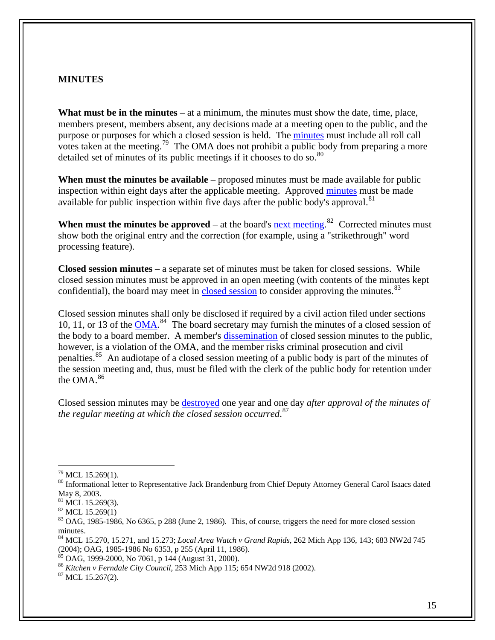#### **MINUTES**

**What must be in the minutes** – at a minimum, the minutes must show the date, time, place, members present, members absent, any decisions made at a meeting open to the public, and the purpose or purposes for which a closed session is held. The [minutes](http://www.legislature.mi.gov/(S(trh5hh45jv3nphq4ewd5cvmn))/mileg.aspx?page=getObject&objectName=mcl-15-269) must include all roll call votes taken at the meeting.<sup>[79](#page-14-0)</sup> The OMA does not prohibit a public body from preparing a more detailed set of minutes of its public meetings if it chooses to do so. $80$ 

**When must the minutes be available** – proposed minutes must be made available for public inspection within eight days after the applicable meeting. Approved [minutes](http://www.legislature.mi.gov/(S(trh5hh45jv3nphq4ewd5cvmn))/mileg.aspx?page=getObject&objectName=mcl-15-269) must be made available for public inspection within five days after the public body's approval.<sup>[81](#page-14-2)</sup>

**When must the minutes be approved** – at the board's  $\frac{next$  meeting.<sup>[82](#page-14-3)</sup> Corrected minutes must show both the original entry and the correction (for example, using a "strikethrough" word processing feature).

**Closed session minutes** – a separate set of minutes must be taken for closed sessions. While closed session minutes must be approved in an open meeting (with contents of the minutes kept confidential), the board may meet in [closed session](http://www.ag.state.mi.us/opinion/datafiles/1980s/op06365.htm) to consider approving the minutes.<sup>[83](#page-14-4)</sup>

Closed session minutes shall only be disclosed if required by a civil action filed under sections 10, 11, or 13 of the [OMA.](http://www.legislature.mi.gov/(S(trh5hh45jv3nphq4ewd5cvmn))/mileg.aspx?page=getObject&objectName=mcl-Act-267-of-1976)<sup>[84](#page-14-5)</sup> The board secretary may furnish the minutes of a closed session of the body to a board member. A member's [dissemination](http://www.ag.state.mi.us/opinion/datafiles/2000s/op10136.htm) of closed session minutes to the public, however, is a violation of the OMA, and the member risks criminal prosecution and civil penalties.<sup>[85](#page-14-6)</sup> An audiotape of a closed session meeting of a public body is part of the minutes of the session meeting and, thus, must be filed with the clerk of the public body for retention under the OMA $^{86}$  $^{86}$  $^{86}$ 

Closed session minutes may be [destroyed](http://www.legislature.mi.gov/(S(trh5hh45jv3nphq4ewd5cvmn))/mileg.aspx?page=getObject&objectName=mcl-15-267) one year and one day *after approval of the minutes of the regular meeting at which the closed session occurred*. [87](#page-14-8)

<span id="page-14-8"></span>

<span id="page-14-0"></span> $79$  MCL 15.269(1).

<span id="page-14-1"></span><sup>&</sup>lt;sup>80</sup> Informational letter to Representative Jack Brandenburg from Chief Deputy Attorney General Carol Isaacs dated May 8, 2003.

 $81$  MCL 15.269(3).

<span id="page-14-3"></span><span id="page-14-2"></span> $82$  MCL 15.269(1)

<span id="page-14-4"></span> $83$  OAG, 1985-1986, No 6365, p 288 (June 2, 1986). This, of course, triggers the need for more closed session minutes.

<span id="page-14-5"></span><sup>84</sup> MCL 15.270, 15.271, and 15.273; *Local Area Watch v Grand Rapids*, 262 Mich App 136, 143; 683 NW2d 745 (2004); OAG, 1985-1986 No 6353, p 255 (April 11, 1986).

 $85$  OAG, 1999-2000, No 7061, p 144 (August 31, 2000).

<span id="page-14-7"></span><span id="page-14-6"></span><sup>&</sup>lt;sup>86</sup> *Kitchen v Ferndale City Council*, 253 Mich App 115; 654 NW2d 918 (2002).<br><sup>87</sup> MCL 15.267(2).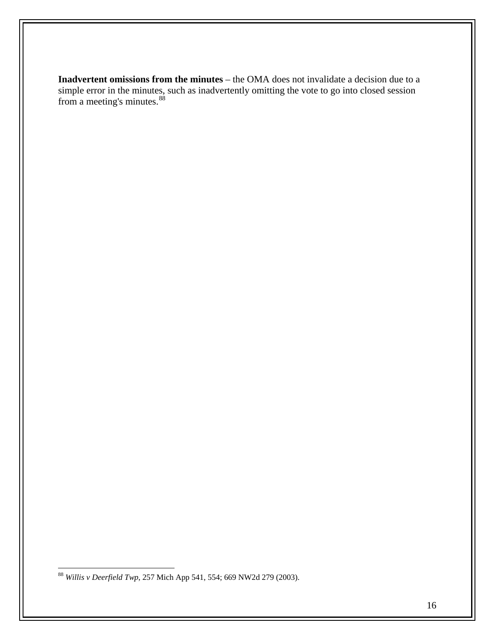**Inadvertent omissions from the minutes** – the OMA does not invalidate a decision due to a simple error in the minutes, such as inadvertently omitting the vote to go into closed session from a meeting's minutes.<sup>[88](#page-15-0)</sup>

<span id="page-15-0"></span><sup>88</sup> *Willis v Deerfield Twp*, 257 Mich App 541, 554; 669 NW2d 279 (2003).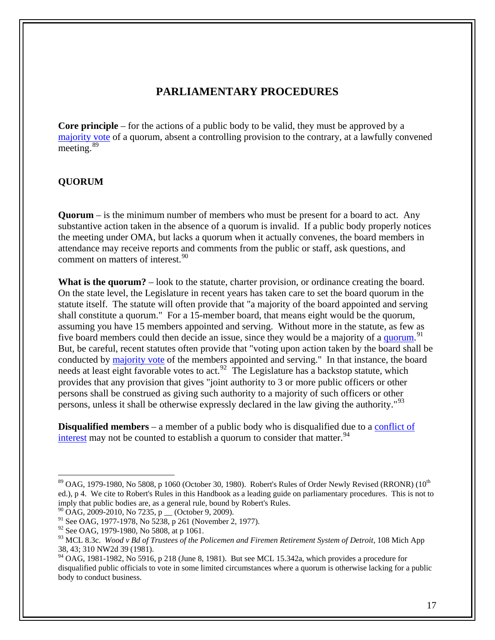# **PARLIAMENTARY PROCEDURES**

**Core principle** – for the actions of a public body to be valid, they must be approved by a [majority vote](http://www.ag.state.mi.us/opinion/datafiles/1980s/op05808.htm) of a quorum, absent a controlling provision to the contrary, at a lawfully convened meeting.<sup>[89](#page-16-0)</sup>

#### **QUORUM**

**Quorum** – is the minimum number of members who must be present for a board to act. Any substantive action taken in the absence of a quorum is invalid. If a public body properly notices the meeting under OMA, but lacks a quorum when it actually convenes, the board members in attendance may receive reports and comments from the public or staff, ask questions, and comment on matters of interest.<sup>[90](#page-16-1)</sup>

**What is the quorum?** – look to the statute, charter provision, or ordinance creating the board. On the state level, the Legislature in recent years has taken care to set the board quorum in the statute itself. The statute will often provide that "a majority of the board appointed and serving shall constitute a quorum." For a 15-member board, that means eight would be the quorum, assuming you have 15 members appointed and serving. Without more in the statute, as few as five board members could then decide an issue, since they would be a majority of a [quorum](http://www.ag.state.mi.us/opinion/datafiles/1970s/op05238.htm).<sup>[91](#page-16-2)</sup> But, be careful, recent statutes often provide that "voting upon action taken by the board shall be conducted by [majority vote](http://www.ag.state.mi.us/opinion/datafiles/1980s/op05808.htm) of the members appointed and serving." In that instance, the board needs at least eight favorable votes to act.<sup>[92](#page-16-3)</sup> The Legislature has a backstop statute, which provides that any provision that gives "joint authority to 3 or more public officers or other persons shall be construed as giving such authority to a majority of such officers or other persons, unless it shall be otherwise expressly declared in the law giving the authority."<sup>[93](#page-16-4)</sup>

**Disqualified members** – a member of a public body who is disqualified due to a conflict of [interest](http://www.ag.state.mi.us/opinion/datafiles/1980s/op05916.htm) may not be counted to establish a quorum to consider that matter.  $94$ 

<span id="page-16-0"></span> $89$  OAG, 1979-1980, No 5808, p 1060 (October 30, 1980). Robert's Rules of Order Newly Revised (RRONR) (10<sup>th</sup> ed.), p 4. We cite to Robert's Rules in this Handbook as a leading guide on parliamentary procedures. This is not to imply that public bodies are, as a general rule, bound by Robert's Rules.

<span id="page-16-1"></span> $90$  OAG, 2009-2010, No 7235, p  $\qquad$  (October 9, 2009).

<span id="page-16-2"></span><sup>&</sup>lt;sup>91</sup> See OAG, 1977-1978, No 5238, p 261 (November 2, 1977).

<span id="page-16-3"></span><sup>&</sup>lt;sup>92</sup> See OAG, 1979-1980, No 5808, at p 1061.

<span id="page-16-4"></span><sup>&</sup>lt;sup>93</sup> MCL 8.3c. *Wood v Bd of Trustees of the Policemen and Firemen Retirement System of Detroit*, 108 Mich App 38, 43; 310 NW2d 39 (1981).

<span id="page-16-5"></span> $94$  OAG, 1981-1982, No 5916, p 218 (June 8, 1981). But see MCL 15.342a, which provides a procedure for disqualified public officials to vote in some limited circumstances where a quorum is otherwise lacking for a public body to conduct business.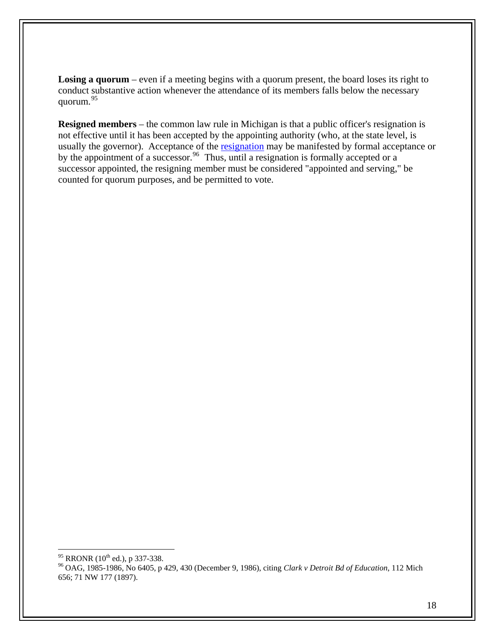Losing a quorum – even if a meeting begins with a quorum present, the board loses its right to conduct substantive action whenever the attendance of its members falls below the necessary quorum.[95](#page-17-0)

**Resigned members** – the common law rule in Michigan is that a public officer's resignation is not effective until it has been accepted by the appointing authority (who, at the state level, is usually the governor). Acceptance of the [resignation](http://www.ag.state.mi.us/opinion/datafiles/1980s/op06405.htm) may be manifested by formal acceptance or by the appointment of a successor.<sup>[96](#page-17-1)</sup> Thus, until a resignation is formally accepted or a successor appointed, the resigning member must be considered "appointed and serving," be counted for quorum purposes, and be permitted to vote.

<span id="page-17-0"></span><sup>95</sup> RRONR (10<sup>th</sup> ed.), p 337-338.

<span id="page-17-1"></span><sup>&</sup>lt;sup>96</sup> OAG, 1985-1986, No 6405, p 429, 430 (December 9, 1986), citing *Clark v Detroit Bd of Education*, 112 Mich 656; 71 NW 177 (1897).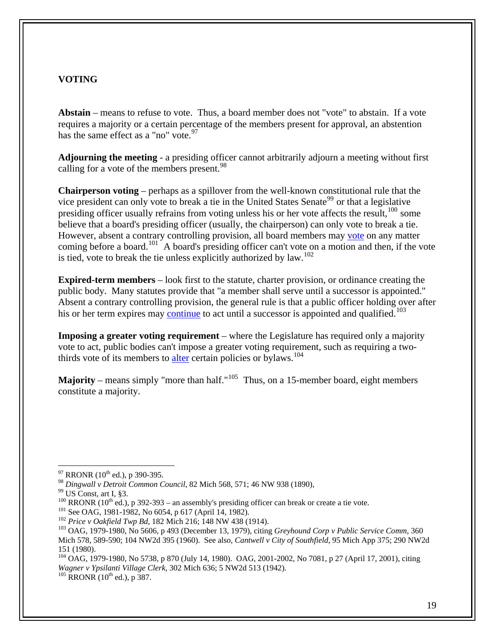## **VOTING**

**Abstain** – means to refuse to vote. Thus, a board member does not "vote" to abstain. If a vote requires a majority or a certain percentage of the members present for approval, an abstention has the same effect as a "no" vote.  $97$ 

**Adjourning the meeting** - a presiding officer cannot arbitrarily adjourn a meeting without first calling for a vote of the members present.<sup>[98](#page-18-1)</sup>

**Chairperson voting** – perhaps as a spillover from the well-known constitutional rule that the vice president can only vote to break a tie in the United States Senate<sup>[99](#page-18-2)</sup> or that a legislative presiding officer usually refrains from voting unless his or her vote affects the result,  $100$  some believe that a board's presiding officer (usually, the chairperson) can only vote to break a tie. However, absent a contrary controlling provision, all board members may [vote](http://www.ag.state.mi.us/opinion/datafiles/1980s/op06054.htm) on any matter coming before a board.<sup>[101](#page-18-4)</sup> A board's presiding officer can't vote on a motion and then, if the vote is tied, vote to break the tie unless explicitly authorized by law.[102](#page-18-5)

**Expired-term members** – look first to the statute, charter provision, or ordinance creating the public body. Many statutes provide that "a member shall serve until a successor is appointed." Absent a contrary controlling provision, the general rule is that a public officer holding over after his or her term expires may [continue](http://www.ag.state.mi.us/opinion/datafiles/1970s/op05606.htm) to act until a successor is appointed and qualified.<sup>[103](#page-18-6)</sup>

**Imposing a greater voting requirement** – where the Legislature has required only a majority vote to act, public bodies can't impose a greater voting requirement, such as requiring a twothirds vote of its members to [alter](http://www.ag.state.mi.us/opinion/datafiles/1980s/op05738.htm) certain policies or bylaws.<sup>[104](#page-18-7)</sup>

**Majority** – means simply "more than half."<sup>[105](#page-18-8)</sup> Thus, on a 15-member board, eight members constitute a majority.

 $\overline{a}$ 

<span id="page-18-8"></span><span id="page-18-7"></span>104 OAG, 1979-1980, No 5738, p 870 (July 14, 1980). OAG, 2001-2002, No 7081, p 27 (April 17, 2001), citing *Wagner v Ypsilanti Village Clerk*, 302 Mich 636; 5 NW2d 513 (1942).<br><sup>105</sup> RRONR (10<sup>th</sup> ed.), p 387.

 $97$  RRONR (10<sup>th</sup> ed.), p 390-395.

<span id="page-18-2"></span><span id="page-18-1"></span><span id="page-18-0"></span><sup>&</sup>lt;sup>98</sup> *Dingwall v Detroit Common Council*, 82 Mich 568, 571; 46 NW 938 (1890),<br><sup>99</sup> US Const, art I, §3.<br><sup>100</sup> RRONR (10<sup>th</sup> ed.), p 392-393 – an assembly's presiding officer can break or create a tie vote.

<span id="page-18-6"></span><span id="page-18-5"></span><span id="page-18-4"></span><span id="page-18-3"></span><sup>&</sup>lt;sup>101</sup> See OAG, 1981-1982, No 6054, p 617 (April 14, 1982).<br><sup>102</sup> *Price v Oakfield Twp Bd*, 182 Mich 216; 148 NW 438 (1914).<br><sup>103</sup> OAG, 1979-1980, No 5606, p 493 (December 13, 1979), citing *Greyhound Corp v Public Servic* Mich 578, 589-590; 104 NW2d 395 (1960). See also, *Cantwell v City of Southfield*, 95 Mich App 375; 290 NW2d 151 (1980).

<sup>19</sup>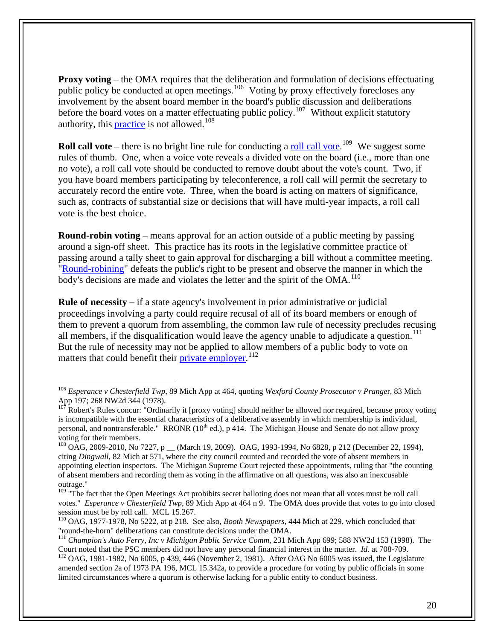**Proxy voting** – the OMA requires that the deliberation and formulation of decisions effectuating public policy be conducted at open meetings.<sup>[106](#page-19-0)</sup> Voting by proxy effectively forecloses any involvement by the absent board member in the board's public discussion and deliberations before the board votes on a matter effectuating public policy.<sup>[107](#page-19-1)</sup> Without explicit statutory authority, this **practice** is not allowed.<sup>[108](#page-19-2)</sup>

**Roll call vote** – there is no bright line rule for conducting a **[roll call vote](http://www.legislature.mi.gov/(S(trh5hh45jv3nphq4ewd5cvmn))/mileg.aspx?page=getObject&objectName=mcl-15-267)**.<sup>[109](#page-19-3)</sup> We suggest some rules of thumb. One, when a voice vote reveals a divided vote on the board (i.e., more than one no vote), a roll call vote should be conducted to remove doubt about the vote's count. Two, if you have board members participating by teleconference, a roll call will permit the secretary to accurately record the entire vote. Three, when the board is acting on matters of significance, such as, contracts of substantial size or decisions that will have multi-year impacts, a roll call vote is the best choice.

**Round-robin voting** – means approval for an action outside of a public meeting by passing around a sign-off sheet. This practice has its roots in the legislative committee practice of passing around a tally sheet to gain approval for discharging a bill without a committee meeting. "[Round-robining"](http://www.ag.state.mi.us/opinion/datafiles/1970s/op05222.htm) defeats the public's right to be present and observe the manner in which the body's decisions are made and violates the letter and the spirit of the  $OMA$ <sup>[110](#page-19-4)</sup>

**Rule of necessity** – if a state agency's involvement in prior administrative or judicial proceedings involving a party could require recusal of all of its board members or enough of them to prevent a quorum from assembling, the common law rule of necessity precludes recusing all members, if the disqualification would leave the agency unable to adjudicate a question.<sup>[111](#page-19-5)</sup> But the rule of necessity may not be applied to allow members of a public body to vote on matters that could benefit their [private employer.](http://www.ag.state.mi.us/opinion/datafiles/1980s/op06005.htm)<sup>[112](#page-19-6)</sup>

<span id="page-19-0"></span><sup>106</sup> *Esperance v Chesterfield Twp*, 89 Mich App at 464, quoting *Wexford County Prosecutor v Prange*r, 83 Mich App 197; 268 NW2d 344 (1978).

<span id="page-19-1"></span><sup>107</sup> Robert's Rules concur: "Ordinarily it [proxy voting] should neither be allowed nor required, because proxy voting is incompatible with the essential characteristics of a deliberative assembly in which membership is individual, personal, and nontransferable." RRONR (10<sup>th</sup> ed.), p 414. The Michigan House and Senate do not allow proxy voting for their members.

<span id="page-19-2"></span><sup>&</sup>lt;sup>108</sup> OAG, 2009-2010, No 7227, p \_\_ (March 19, 2009). OAG, 1993-1994, No 6828, p 212 (December 22, 1994), citing *Dingwall*, 82 Mich at 571, where the city council counted and recorded the vote of absent members in appointing election inspectors. The Michigan Supreme Court rejected these appointments, ruling that "the counting of absent members and recording them as voting in the affirmative on all questions, was also an inexcusable outrage."

<span id="page-19-3"></span><sup>&</sup>lt;sup>109</sup> "The fact that the Open Meetings Act prohibits secret balloting does not mean that all votes must be roll call votes." *Esperance v Chesterfield Twp*, 89 Mich App at 464 n 9. The OMA does provide that votes to go into closed session must be by roll call. MCL 15.267.

<span id="page-19-4"></span><sup>110</sup> OAG, 1977-1978, No 5222, at p 218. See also, *Booth Newspapers,* 444 Mich at 229, which concluded that "round-the-horn" deliberations can constitute decisions under the OMA.

<span id="page-19-5"></span><sup>&</sup>lt;sup>111</sup> *Champion's Auto Ferry, Inc v Michigan Public Service Comm*, 231 Mich App 699; 588 NW2d 153 (1998). The Court noted that the PSC members did not have any personal financial interest in the matter. *Id.* at 708-709.

<span id="page-19-6"></span><sup>&</sup>lt;sup>112</sup> OAG, 1981-1982, No 6005, p 439, 446 (November 2, 1981). After OAG No 6005 was issued, the Legislature amended section 2a of 1973 PA 196, MCL 15.342a, to provide a procedure for voting by public officials in some limited circumstances where a quorum is otherwise lacking for a public entity to conduct business.